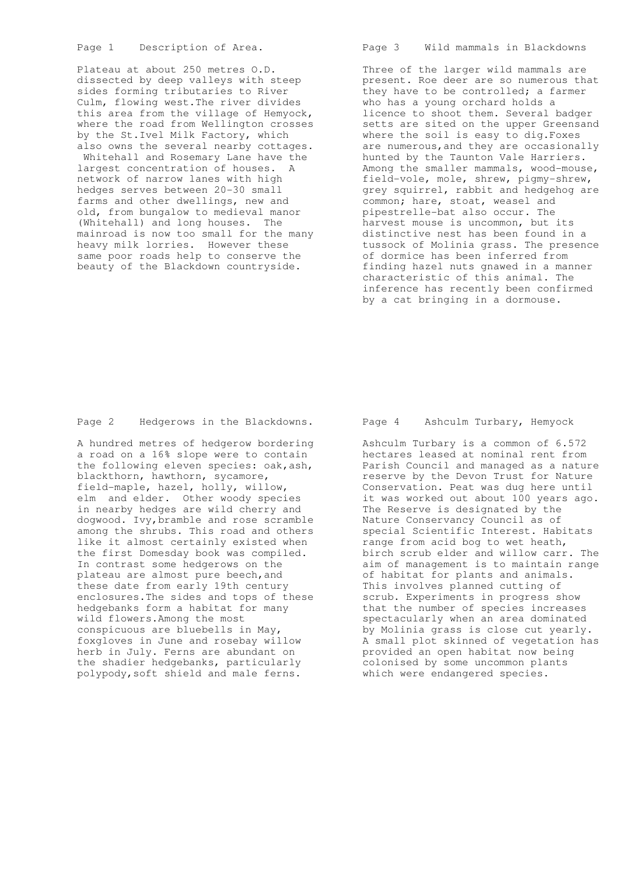Page 1 Description of Area.

 Plateau at about 250 metres O.D. dissected by deep valleys with steep sides forming tributaries to River Culm, flowing west.The river divides this area from the village of Hemyock, where the road from Wellington crosses by the St.Ivel Milk Factory, which also owns the several nearby cottages. Whitehall and Rosemary Lane have the largest concentration of houses. A network of narrow lanes with high hedges serves between 20-30 small farms and other dwellings, new and old, from bungalow to medieval manor (Whitehall) and long houses. The mainroad is now too small for the many heavy milk lorries. However these same poor roads help to conserve the beauty of the Blackdown countryside.

Page 3 Wild mammals in Blackdowns

 Three of the larger wild mammals are present. Roe deer are so numerous that they have to be controlled; a farmer who has a young orchard holds a licence to shoot them. Several badger setts are sited on the upper Greensand where the soil is easy to dig.Foxes are numerous,and they are occasionally hunted by the Taunton Vale Harriers. Among the smaller mammals, wood-mouse, field-vole, mole, shrew, pigmy-shrew, grey squirrel, rabbit and hedgehog are common; hare, stoat, weasel and pipestrelle-bat also occur. The harvest mouse is uncommon, but its distinctive nest has been found in a tussock of Molinia grass. The presence of dormice has been inferred from finding hazel nuts gnawed in a manner characteristic of this animal. The inference has recently been confirmed by a cat bringing in a dormouse.

Page 2 Hedgerows in the Blackdowns.

 A hundred metres of hedgerow bordering a road on a 16% slope were to contain the following eleven species: oak,ash, blackthorn, hawthorn, sycamore, field-maple, hazel, holly, willow, elm and elder. Other woody species in nearby hedges are wild cherry and dogwood. Ivy,bramble and rose scramble among the shrubs. This road and others like it almost certainly existed when the first Domesday book was compiled. In contrast some hedgerows on the plateau are almost pure beech,and these date from early 19th century enclosures.The sides and tops of these hedgebanks form a habitat for many wild flowers.Among the most conspicuous are bluebells in May, foxgloves in June and rosebay willow herb in July. Ferns are abundant on the shadier hedgebanks, particularly polypody,soft shield and male ferns.

### Page 4 Ashculm Turbary, Hemyock

 Ashculm Turbary is a common of 6.572 hectares leased at nominal rent from Parish Council and managed as a nature reserve by the Devon Trust for Nature Conservation. Peat was dug here until it was worked out about 100 years ago. The Reserve is designated by the Nature Conservancy Council as of special Scientific Interest. Habitats range from acid bog to wet heath, birch scrub elder and willow carr. The aim of management is to maintain range of habitat for plants and animals. This involves planned cutting of scrub. Experiments in progress show that the number of species increases spectacularly when an area dominated by Molinia grass is close cut yearly. A small plot skinned of vegetation has A small plot skinned of vegetation<br>provided an open habitat now being colonised by some uncommon plants which were endangered species.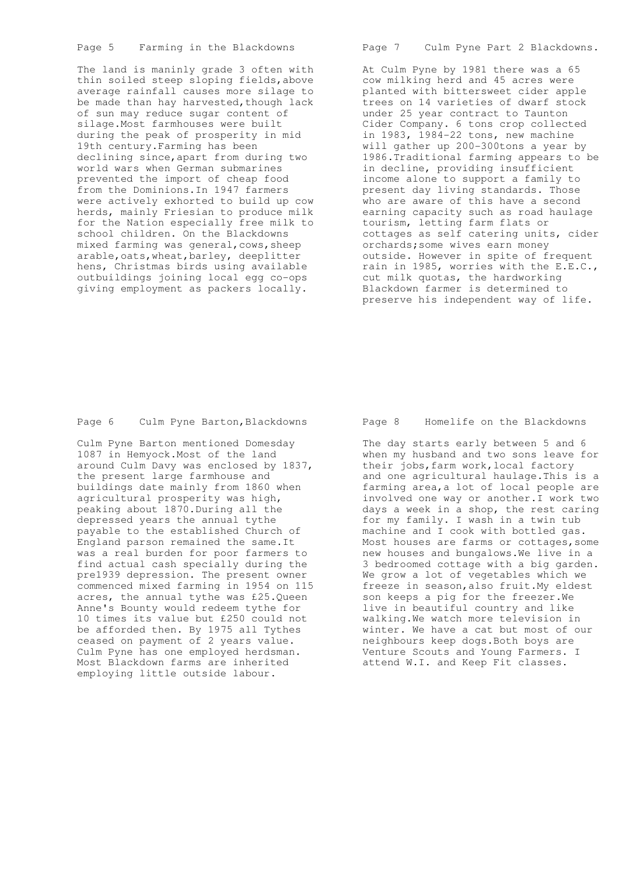Page 5 Farming in the Blackdowns

 The land is maninly grade 3 often with thin soiled steep sloping fields,above average rainfall causes more silage to be made than hay harvested, though lack of sun may reduce sugar content of silage.Most farmhouses were built during the peak of prosperity in mid 19th century.Farming has been declining since,apart from during two world wars when German submarines prevented the import of cheap food from the Dominions.In 1947 farmers were actively exhorted to build up cow herds, mainly Friesian to produce milk for the Nation especially free milk to school children. On the Blackdowns mixed farming was general,cows,sheep arable, oats, wheat, barley, deeplitter hens, Christmas birds using available outbuildings joining local egg co-ops giving employment as packers locally.

Page 7 Culm Pyne Part 2 Blackdowns.

 At Culm Pyne by 1981 there was a 65 cow milking herd and 45 acres were planted with bittersweet cider apple trees on 14 varieties of dwarf stock under 25 year contract to Taunton Cider Company. 6 tons crop collected in 1983, 1984-22 tons, new machine will gather up 200-300tons a year by 1986.Traditional farming appears to be in decline, providing insufficient income alone to support a family to present day living standards. Those who are aware of this have a second earning capacity such as road haulage tourism, letting farm flats or cottages as self catering units, cider orchards;some wives earn money outside. However in spite of frequent rain in 1985, worries with the E.E.C., cut milk quotas, the hardworking Blackdown farmer is determined to preserve his independent way of life.

Page 6 Culm Pyne Barton, Blackdowns

 Culm Pyne Barton mentioned Domesday 1087 in Hemyock.Most of the land around Culm Davy was enclosed by 1837, the present large farmhouse and buildings date mainly from 1860 when agricultural prosperity was high, peaking about 1870.During all the depressed years the annual tythe payable to the established Church of England parson remained the same.It was a real burden for poor farmers to find actual cash specially during the pre1939 depression. The present owner commenced mixed farming in 1954 on 115 acres, the annual tythe was £25.Queen Anne's Bounty would redeem tythe for 10 times its value but £250 could not be afforded then. By 1975 all Tythes ceased on payment of 2 years value. Culm Pyne has one employed herdsman. Most Blackdown farms are inherited employing little outside labour.

Page 8 Homelife on the Blackdowns

 The day starts early between 5 and 6 when my husband and two sons leave for their jobs, farm work, local factory and one agricultural haulage.This is a farming area,a lot of local people are involved one way or another.I work two days a week in a shop, the rest caring for my family. I wash in a twin tub machine and I cook with bottled gas. Most houses are farms or cottages, some new houses and bungalows.We live in a 3 bedroomed cottage with a big garden. We grow a lot of vegetables which we freeze in season,also fruit.My eldest son keeps a pig for the freezer.We live in beautiful country and like walking.We watch more television in winter. We have a cat but most of our neighbours keep dogs.Both boys are Venture Scouts and Young Farmers. I attend W.I. and Keep Fit classes.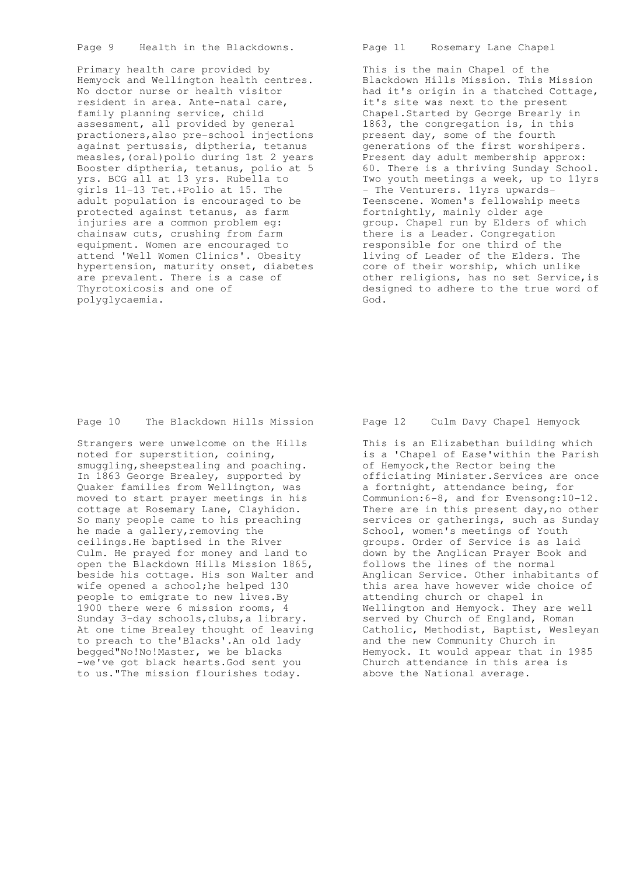Page 9 Health in the Blackdowns.

 Primary health care provided by Hemyock and Wellington health centres. No doctor nurse or health visitor resident in area. Ante-natal care, family planning service, child assessment, all provided by general practioners,also pre-school injections against pertussis, diptheria, tetanus measles, (oral) polio during 1st 2 years Booster diptheria, tetanus, polio at 5 yrs. BCG all at 13 yrs. Rubella to girls 11-13 Tet.+Polio at 15. The adult population is encouraged to be protected against tetanus, as farm injuries are a common problem eg: chainsaw cuts, crushing from farm equipment. Women are encouraged to attend 'Well Women Clinics'. Obesity hypertension, maturity onset, diabetes are prevalent. There is a case of Thyrotoxicosis and one of polyglycaemia.

Page 11 Rosemary Lane Chapel

 This is the main Chapel of the Blackdown Hills Mission. This Mission had it's origin in a thatched Cottage, it's site was next to the present Chapel.Started by George Brearly in 1863, the congregation is, in this present day, some of the fourth generations of the first worshipers. Present day adult membership approx: 60. There is a thriving Sunday School. Two youth meetings a week, up to 11yrs - The Venturers. 11yrs upwards- Teenscene. Women's fellowship meets fortnightly, mainly older age group. Chapel run by Elders of which there is a Leader. Congregation responsible for one third of the living of Leader of the Elders. The core of their worship, which unlike other religions, has no set Service, is designed to adhere to the true word of God.

Page 10 The Blackdown Hills Mission

 Strangers were unwelcome on the Hills noted for superstition, coining, smuggling, sheepstealing and poaching. In 1863 George Brealey, supported by Quaker families from Wellington, was moved to start prayer meetings in his cottage at Rosemary Lane, Clayhidon. So many people came to his preaching he made a gallery, removing the ceilings.He baptised in the River Culm. He prayed for money and land to open the Blackdown Hills Mission 1865, beside his cottage. His son Walter and wife opened a school;he helped 130 people to emigrate to new lives.By 1900 there were 6 mission rooms, 4 Sunday 3-day schools,clubs,a library. At one time Brealey thought of leaving to preach to the'Blacks'.An old lady begged"No!No!Master, we be blacks -we've got black hearts.God sent you to us."The mission flourishes today.

## Page 12 Culm Davy Chapel Hemyock

 This is an Elizabethan building which is a 'Chapel of Ease'within the Parish of Hemyock, the Rector being the officiating Minister.Services are once a fortnight, attendance being, for Communion:6-8, and for Evensong:10-12. There are in this present day, no other services or gatherings, such as Sunday School, women's meetings of Youth groups. Order of Service is as laid down by the Anglican Prayer Book and follows the lines of the normal Anglican Service. Other inhabitants of this area have however wide choice of attending church or chapel in Wellington and Hemyock. They are well served by Church of England, Roman Catholic, Methodist, Baptist, Wesleyan and the new Community Church in Hemyock. It would appear that in 1985 Church attendance in this area is above the National average.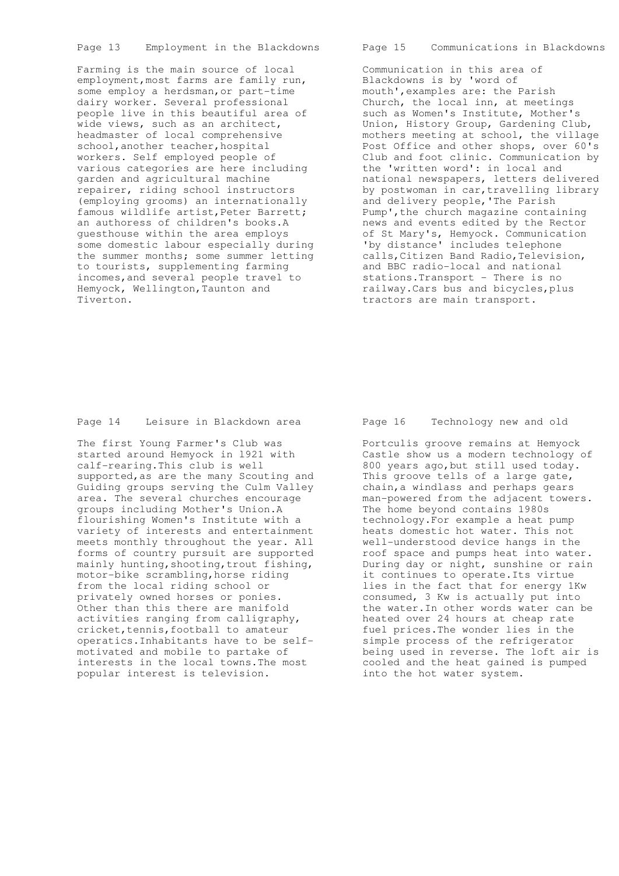Page 13 Employment in the Blackdowns

 Farming is the main source of local employment, most farms are family run, some employ a herdsman, or part-time dairy worker. Several professional people live in this beautiful area of wide views, such as an architect, headmaster of local comprehensive school, another teacher, hospital workers. Self employed people of various categories are here including garden and agricultural machine repairer, riding school instructors (employing grooms) an internationally famous wildlife artist, Peter Barrett; an authoress of children's books.A guesthouse within the area employs some domestic labour especially during the summer months; some summer letting to tourists, supplementing farming incomes,and several people travel to Hemyock, Wellington,Taunton and Tiverton.

Page 15 Communications in Blackdowns

 Communication in this area of Blackdowns is by 'word of mouth',examples are: the Parish Church, the local inn, at meetings such as Women's Institute, Mother's Union, History Group, Gardening Club, mothers meeting at school, the village Post Office and other shops, over 60's Club and foot clinic. Communication by the 'written word': in local and national newspapers, letters delivered by postwoman in car,travelling library and delivery people,'The Parish Pump', the church magazine containing news and events edited by the Rector of St Mary's, Hemyock. Communication 'by distance' includes telephone calls,Citizen Band Radio,Television, and BBC radio-local and national stations.Transport - There is no railway.Cars bus and bicycles,plus tractors are main transport.

Page 14 Leisure in Blackdown area

 The first Young Farmer's Club was started around Hemyock in l921 with calf-rearing.This club is well supported,as are the many Scouting and Guiding groups serving the Culm Valley area. The several churches encourage groups including Mother's Union.A flourishing Women's Institute with a variety of interests and entertainment meets monthly throughout the year. All forms of country pursuit are supported mainly hunting, shooting, trout fishing, motor-bike scrambling,horse riding from the local riding school or privately owned horses or ponies. Other than this there are manifold activities ranging from calligraphy, cricket, tennis, football to amateur operatics.Inhabitants have to be self motivated and mobile to partake of interests in the local towns.The most popular interest is television.

### Page 16 Technology new and old

 Portculis groove remains at Hemyock Castle show us a modern technology of 800 years ago,but still used today. This groove tells of a large gate, chain,a windlass and perhaps gears man-powered from the adjacent towers. The home beyond contains 1980s technology.For example a heat pump heats domestic hot water. This not well-understood device hangs in the roof space and pumps heat into water. During day or night, sunshine or rain it continues to operate.Its virtue lies in the fact that for energy 1Kw consumed, 3 Kw is actually put into the water.In other words water can be heated over 24 hours at cheap rate fuel prices.The wonder lies in the simple process of the refrigerator being used in reverse. The loft air is cooled and the heat gained is pumped into the hot water system.